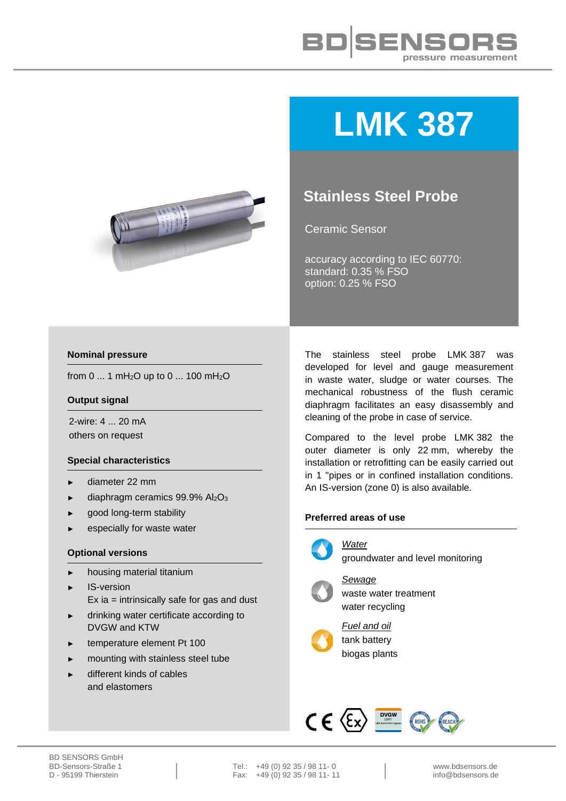



# **LMK 387**

# **Stainless Steel Probe**

Ceramic Sensor

accuracy according to IEC 60770: standard: 0.35 % FSO option: 0.25 % FSO

### **Nominal pressure**

from 0 ... 1 mH<sub>2</sub>O up to 0 ... 100 mH<sub>2</sub>O

### **Output signal**

2-wire: 4 ... 20 mA others on request

### **Special characteristics**

- ► diameter 22 mm
- $\blacktriangleright$  diaphragm ceramics 99.9% Al<sub>2</sub>O<sub>3</sub>
- good long-term stability
- especially for waste water

### **Optional versions**

- ► housing material titanium
- ► IS-version
	- $Ex$  ia = intrinsically safe for gas and dust
- ► drinking water certificate according to DVGW and KTW
- temperature element Pt 100
- ► mounting with stainless steel tube
- different kinds of cables and elastomers

The stainless steel probe LMK 387 was developed for level and gauge measurement in waste water, sludge or water courses. The mechanical robustness of the flush ceramic diaphragm facilitates an easy disassembly and cleaning of the probe in case of service.

Compared to the level probe LMK 382 the outer diameter is only 22 mm, whereby the installation or retrofitting can be easily carried out in 1 "pipes or in confined installation conditions. An IS-version (zone 0) is also available.

### **Preferred areas of use**



groundwater and level monitoring



*Sewage* waste water treatment water recycling



*Fuel and oil* tank battery biogas plants

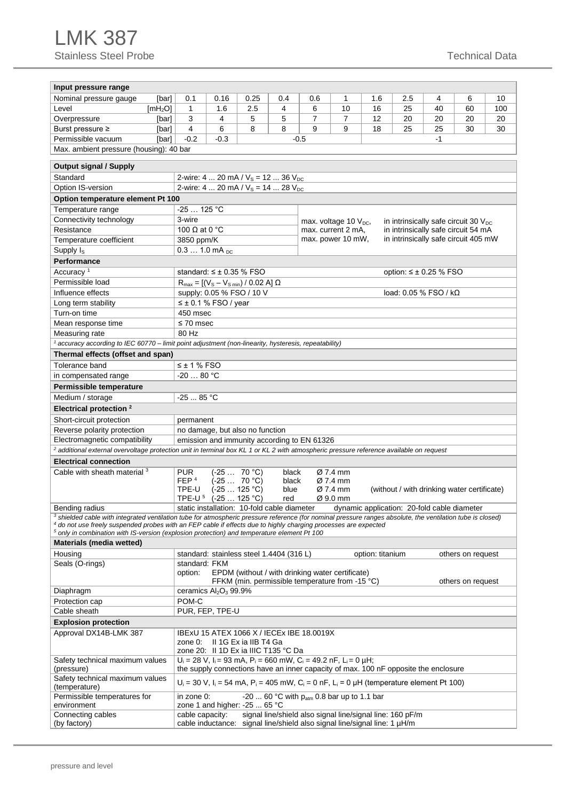| Input pressure range                                                                                                                                                                                                      |                     |                                                                                                                                                           |                                                                                                                                                              |                                                                                |               |                                                                                                                                                                    |                      |                  |     |                                             |                   |     |  |
|---------------------------------------------------------------------------------------------------------------------------------------------------------------------------------------------------------------------------|---------------------|-----------------------------------------------------------------------------------------------------------------------------------------------------------|--------------------------------------------------------------------------------------------------------------------------------------------------------------|--------------------------------------------------------------------------------|---------------|--------------------------------------------------------------------------------------------------------------------------------------------------------------------|----------------------|------------------|-----|---------------------------------------------|-------------------|-----|--|
| Nominal pressure gauge                                                                                                                                                                                                    | [bar]               | 0.1                                                                                                                                                       | 0.16                                                                                                                                                         | 0.25                                                                           | 0.4           | 0.6                                                                                                                                                                | 1                    | 1.6              | 2.5 | 4                                           | 6                 | 10  |  |
| Level                                                                                                                                                                                                                     | [mH <sub>2</sub> O] | 1                                                                                                                                                         | 1.6                                                                                                                                                          | 2.5                                                                            | 4             | 6                                                                                                                                                                  | 10                   | 16               | 25  | 40                                          | 60                | 100 |  |
| Overpressure                                                                                                                                                                                                              | [bar]               | 3                                                                                                                                                         | 4                                                                                                                                                            | 5                                                                              | 5             | $\overline{7}$                                                                                                                                                     | $\overline{7}$       | 12               | 20  | 20                                          | 20                | 20  |  |
| Burst pressure ≥                                                                                                                                                                                                          | [bar]               | $\overline{4}$                                                                                                                                            | 6                                                                                                                                                            | 8                                                                              | 8             | 9                                                                                                                                                                  | 9                    | 18               | 25  | 30                                          | 30                |     |  |
| $-0.2$<br>$-0.3$<br>Permissible vacuum<br>[bar]<br>$-0.5$<br>$-1$                                                                                                                                                         |                     |                                                                                                                                                           |                                                                                                                                                              |                                                                                |               |                                                                                                                                                                    |                      |                  |     |                                             |                   |     |  |
| Max. ambient pressure (housing): 40 bar                                                                                                                                                                                   |                     |                                                                                                                                                           |                                                                                                                                                              |                                                                                |               |                                                                                                                                                                    |                      |                  |     |                                             |                   |     |  |
|                                                                                                                                                                                                                           |                     |                                                                                                                                                           |                                                                                                                                                              |                                                                                |               |                                                                                                                                                                    |                      |                  |     |                                             |                   |     |  |
| <b>Output signal / Supply</b><br>2-wire: 4  20 mA / $V_s$ = 12  36 $V_{DC}$                                                                                                                                               |                     |                                                                                                                                                           |                                                                                                                                                              |                                                                                |               |                                                                                                                                                                    |                      |                  |     |                                             |                   |     |  |
| Standard                                                                                                                                                                                                                  |                     |                                                                                                                                                           |                                                                                                                                                              |                                                                                |               |                                                                                                                                                                    |                      |                  |     |                                             |                   |     |  |
| Option IS-version                                                                                                                                                                                                         |                     |                                                                                                                                                           |                                                                                                                                                              | 2-wire: 4  20 mA / $V_s$ = 14  28 $V_{DC}$                                     |               |                                                                                                                                                                    |                      |                  |     |                                             |                   |     |  |
| Option temperature element Pt 100                                                                                                                                                                                         |                     |                                                                                                                                                           |                                                                                                                                                              |                                                                                |               |                                                                                                                                                                    |                      |                  |     |                                             |                   |     |  |
| Temperature range                                                                                                                                                                                                         |                     | $-25$ 125 °C                                                                                                                                              |                                                                                                                                                              |                                                                                |               |                                                                                                                                                                    |                      |                  |     |                                             |                   |     |  |
| Connectivity technology<br>Resistance                                                                                                                                                                                     |                     | 3-wire                                                                                                                                                    | max. voltage 10 $V_{DC}$ ,<br>in intrinsically safe circuit 30 $V_{DC}$<br>100 $\Omega$ at 0 °C<br>max. current 2 mA,<br>in intrinsically safe circuit 54 mA |                                                                                |               |                                                                                                                                                                    |                      |                  |     |                                             |                   |     |  |
| Temperature coefficient                                                                                                                                                                                                   |                     | 3850 ppm/K                                                                                                                                                |                                                                                                                                                              |                                                                                |               |                                                                                                                                                                    | max. power 10 mW,    |                  |     | in intrinsically safe circuit 405 mW        |                   |     |  |
| Supply I <sub>s</sub>                                                                                                                                                                                                     |                     | $0.31.0$ mA <sub>pc</sub>                                                                                                                                 |                                                                                                                                                              |                                                                                |               |                                                                                                                                                                    |                      |                  |     |                                             |                   |     |  |
| <b>Performance</b>                                                                                                                                                                                                        |                     |                                                                                                                                                           |                                                                                                                                                              |                                                                                |               |                                                                                                                                                                    |                      |                  |     |                                             |                   |     |  |
| Accuracy <sup>1</sup>                                                                                                                                                                                                     |                     |                                                                                                                                                           | standard: $\leq \pm 0.35$ % FSO                                                                                                                              |                                                                                |               |                                                                                                                                                                    |                      |                  |     | option: ≤ ± 0.25 % FSO                      |                   |     |  |
| Permissible load                                                                                                                                                                                                          |                     |                                                                                                                                                           |                                                                                                                                                              | $R_{\text{max}} = [(V_{\text{S}} - V_{\text{S min}}) / 0.02 \text{ A}] \Omega$ |               |                                                                                                                                                                    |                      |                  |     |                                             |                   |     |  |
| Influence effects                                                                                                                                                                                                         |                     |                                                                                                                                                           |                                                                                                                                                              | supply: 0.05 % FSO / 10 V                                                      |               |                                                                                                                                                                    |                      |                  |     | load: 0.05 % FSO / kΩ                       |                   |     |  |
| Long term stability                                                                                                                                                                                                       |                     |                                                                                                                                                           | $\leq \pm 0.1$ % FSO / year                                                                                                                                  |                                                                                |               |                                                                                                                                                                    |                      |                  |     |                                             |                   |     |  |
| Turn-on time                                                                                                                                                                                                              |                     | 450 msec                                                                                                                                                  |                                                                                                                                                              |                                                                                |               |                                                                                                                                                                    |                      |                  |     |                                             |                   |     |  |
| Mean response time                                                                                                                                                                                                        |                     | $\leq 70$ msec                                                                                                                                            |                                                                                                                                                              |                                                                                |               |                                                                                                                                                                    |                      |                  |     |                                             |                   |     |  |
| Measuring rate                                                                                                                                                                                                            |                     | 80 Hz                                                                                                                                                     |                                                                                                                                                              |                                                                                |               |                                                                                                                                                                    |                      |                  |     |                                             |                   |     |  |
| $^1$ accuracy according to IEC 60770 – limit point adjustment (non-linearity, hysteresis, repeatability)                                                                                                                  |                     |                                                                                                                                                           |                                                                                                                                                              |                                                                                |               |                                                                                                                                                                    |                      |                  |     |                                             |                   |     |  |
| Thermal effects (offset and span)                                                                                                                                                                                         |                     |                                                                                                                                                           |                                                                                                                                                              |                                                                                |               |                                                                                                                                                                    |                      |                  |     |                                             |                   |     |  |
| <b>Tolerance band</b>                                                                                                                                                                                                     |                     | $\leq$ ± 1 % FSO                                                                                                                                          |                                                                                                                                                              |                                                                                |               |                                                                                                                                                                    |                      |                  |     |                                             |                   |     |  |
| in compensated range                                                                                                                                                                                                      |                     | $-2080 °C$                                                                                                                                                |                                                                                                                                                              |                                                                                |               |                                                                                                                                                                    |                      |                  |     |                                             |                   |     |  |
| Permissible temperature                                                                                                                                                                                                   |                     |                                                                                                                                                           |                                                                                                                                                              |                                                                                |               |                                                                                                                                                                    |                      |                  |     |                                             |                   |     |  |
| Medium / storage                                                                                                                                                                                                          |                     | $-2585 °C$                                                                                                                                                |                                                                                                                                                              |                                                                                |               |                                                                                                                                                                    |                      |                  |     |                                             |                   |     |  |
| Electrical protection <sup>2</sup>                                                                                                                                                                                        |                     |                                                                                                                                                           |                                                                                                                                                              |                                                                                |               |                                                                                                                                                                    |                      |                  |     |                                             |                   |     |  |
| Short-circuit protection                                                                                                                                                                                                  |                     | permanent                                                                                                                                                 |                                                                                                                                                              |                                                                                |               |                                                                                                                                                                    |                      |                  |     |                                             |                   |     |  |
| Reverse polarity protection                                                                                                                                                                                               |                     |                                                                                                                                                           |                                                                                                                                                              | no damage, but also no function                                                |               |                                                                                                                                                                    |                      |                  |     |                                             |                   |     |  |
| Electromagnetic compatibility                                                                                                                                                                                             |                     |                                                                                                                                                           |                                                                                                                                                              |                                                                                |               | emission and immunity according to EN 61326                                                                                                                        |                      |                  |     |                                             |                   |     |  |
| <sup>2</sup> additional external overvoltage protection unit in terminal box KL 1 or KL 2 with atmospheric pressure reference available on request                                                                        |                     |                                                                                                                                                           |                                                                                                                                                              |                                                                                |               |                                                                                                                                                                    |                      |                  |     |                                             |                   |     |  |
| <b>Electrical connection</b>                                                                                                                                                                                              |                     |                                                                                                                                                           |                                                                                                                                                              |                                                                                |               |                                                                                                                                                                    |                      |                  |     |                                             |                   |     |  |
| Cable with sheath material 3                                                                                                                                                                                              |                     | <b>PUR</b>                                                                                                                                                |                                                                                                                                                              | $(-25 70 °C)$                                                                  | black         |                                                                                                                                                                    | Ø 7.4 mm             |                  |     |                                             |                   |     |  |
|                                                                                                                                                                                                                           |                     | FEP $4$<br>TPE-U                                                                                                                                          |                                                                                                                                                              | $(-2570 °C)$<br>$(-25125 °C)$                                                  | black<br>blue |                                                                                                                                                                    | Ø 7.4 mm<br>Ø 7.4 mm |                  |     | (without / with drinking water certificate) |                   |     |  |
|                                                                                                                                                                                                                           |                     |                                                                                                                                                           | TPE-U $5$ (-25  125 °C)                                                                                                                                      |                                                                                | red           |                                                                                                                                                                    | Ø 9.0 mm             |                  |     |                                             |                   |     |  |
| Bending radius                                                                                                                                                                                                            |                     |                                                                                                                                                           |                                                                                                                                                              | static installation: 10-fold cable diameter                                    |               |                                                                                                                                                                    |                      |                  |     | dynamic application: 20-fold cable diameter |                   |     |  |
| <sup>3</sup> shielded cable with integrated ventilation tube for atmospheric pressure reference (for nominal pressure ranges absolute, the ventilation tube is closed)                                                    |                     |                                                                                                                                                           |                                                                                                                                                              |                                                                                |               |                                                                                                                                                                    |                      |                  |     |                                             |                   |     |  |
| 4 do not use freely suspended probes with an FEP cable if effects due to highly charging processes are expected<br><sup>5</sup> only in combination with IS-version (explosion protection) and temperature element Pt 100 |                     |                                                                                                                                                           |                                                                                                                                                              |                                                                                |               |                                                                                                                                                                    |                      |                  |     |                                             |                   |     |  |
| Materials (media wetted)                                                                                                                                                                                                  |                     |                                                                                                                                                           |                                                                                                                                                              |                                                                                |               |                                                                                                                                                                    |                      |                  |     |                                             |                   |     |  |
| Housing                                                                                                                                                                                                                   |                     |                                                                                                                                                           |                                                                                                                                                              | standard: stainless steel 1.4404 (316 L)                                       |               |                                                                                                                                                                    |                      | option: titanium |     |                                             | others on request |     |  |
| Seals (O-rings)                                                                                                                                                                                                           |                     | standard: FKM                                                                                                                                             |                                                                                                                                                              |                                                                                |               |                                                                                                                                                                    |                      |                  |     |                                             |                   |     |  |
|                                                                                                                                                                                                                           |                     | option:                                                                                                                                                   |                                                                                                                                                              |                                                                                |               | EPDM (without / with drinking water certificate)                                                                                                                   |                      |                  |     |                                             |                   |     |  |
|                                                                                                                                                                                                                           |                     |                                                                                                                                                           |                                                                                                                                                              |                                                                                |               | FFKM (min. permissible temperature from -15 °C)                                                                                                                    |                      |                  |     |                                             | others on request |     |  |
| Diaphragm                                                                                                                                                                                                                 |                     | ceramics $Al_2O_3$ 99.9%                                                                                                                                  |                                                                                                                                                              |                                                                                |               |                                                                                                                                                                    |                      |                  |     |                                             |                   |     |  |
| Protection cap                                                                                                                                                                                                            |                     | POM-C<br>PUR, FEP, TPE-U                                                                                                                                  |                                                                                                                                                              |                                                                                |               |                                                                                                                                                                    |                      |                  |     |                                             |                   |     |  |
| Cable sheath                                                                                                                                                                                                              |                     |                                                                                                                                                           |                                                                                                                                                              |                                                                                |               |                                                                                                                                                                    |                      |                  |     |                                             |                   |     |  |
| <b>Explosion protection</b>                                                                                                                                                                                               |                     |                                                                                                                                                           |                                                                                                                                                              |                                                                                |               |                                                                                                                                                                    |                      |                  |     |                                             |                   |     |  |
| Approval DX14B-LMK 387                                                                                                                                                                                                    |                     |                                                                                                                                                           |                                                                                                                                                              | zone 0: Il 1G Ex ia IIB T4 Ga<br>zone 20: II 1D Ex ia IIIC T135 °C Da          |               | IBExU 15 ATEX 1066 X / IECEx IBE 18.0019X                                                                                                                          |                      |                  |     |                                             |                   |     |  |
| Safety technical maximum values<br>(pressure)                                                                                                                                                                             |                     |                                                                                                                                                           |                                                                                                                                                              |                                                                                |               | $U_i = 28$ V, $I_i = 93$ mA, $P_i = 660$ mW, $C_i = 49.2$ nF, $L_i = 0$ µH;<br>the supply connections have an inner capacity of max. 100 nF opposite the enclosure |                      |                  |     |                                             |                   |     |  |
| Safety technical maximum values<br>(temperature)                                                                                                                                                                          |                     |                                                                                                                                                           |                                                                                                                                                              |                                                                                |               | $U_i = 30$ V, $I_i = 54$ mA, $P_i = 405$ mW, $C_i = 0$ nF, $L_i = 0$ µH (temperature element Pt 100)                                                               |                      |                  |     |                                             |                   |     |  |
| Permissible temperatures for<br>environment                                                                                                                                                                               |                     | in zone 0:                                                                                                                                                |                                                                                                                                                              | zone 1 and higher: -25  65 °C                                                  |               | -20  60 °C with $p_{atm}$ 0.8 bar up to 1.1 bar                                                                                                                    |                      |                  |     |                                             |                   |     |  |
| Connecting cables<br>(by factory)                                                                                                                                                                                         |                     | signal line/shield also signal line/signal line: 160 pF/m<br>cable capacity:<br>cable inductance: signal line/shield also signal line/signal line: 1 µH/m |                                                                                                                                                              |                                                                                |               |                                                                                                                                                                    |                      |                  |     |                                             |                   |     |  |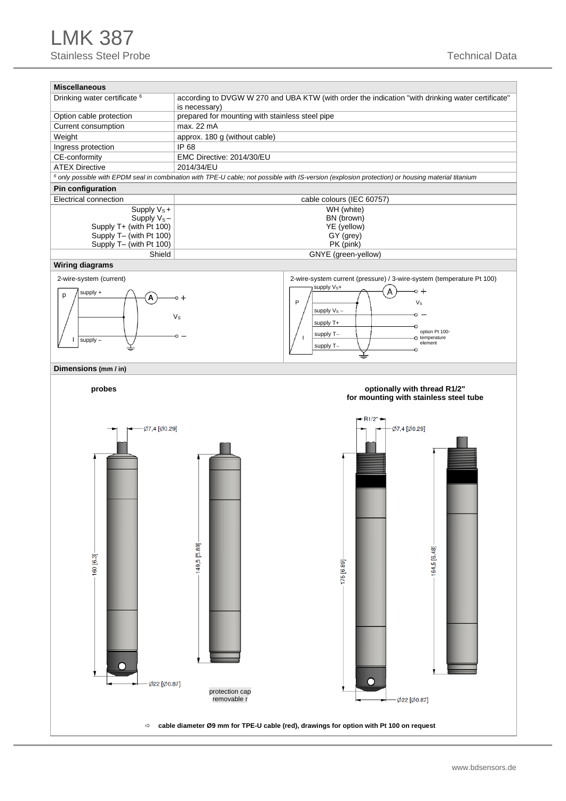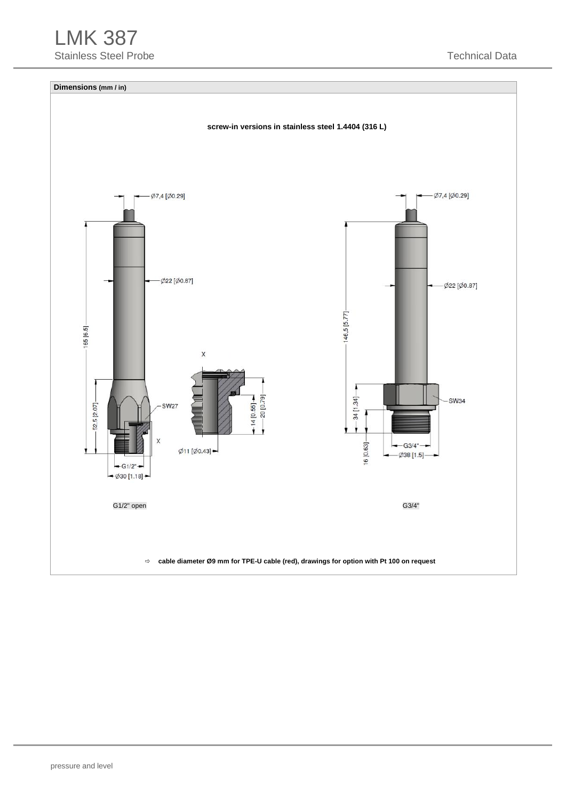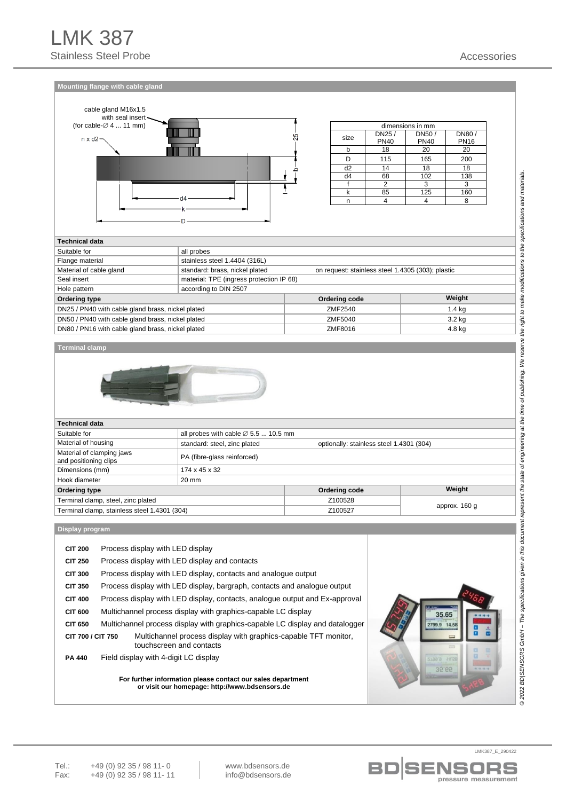**Mounting flange with cable gland**



|                | dimensions in mm |             |             |  |  |  |  |  |  |  |  |
|----------------|------------------|-------------|-------------|--|--|--|--|--|--|--|--|
| size           | DN25/            | DN50/       | DN80/       |  |  |  |  |  |  |  |  |
|                | <b>PN40</b>      | <b>PN40</b> | <b>PN16</b> |  |  |  |  |  |  |  |  |
|                | 18               | 20          | 20          |  |  |  |  |  |  |  |  |
| D              | 115              | 165         | 200         |  |  |  |  |  |  |  |  |
| d <sub>2</sub> | 14               | 18          | 18          |  |  |  |  |  |  |  |  |
| d4             | 68               | 102         | 138         |  |  |  |  |  |  |  |  |
|                | 2                | 3           | 3           |  |  |  |  |  |  |  |  |
|                | 85               | 125         | 160         |  |  |  |  |  |  |  |  |
|                |                  |             |             |  |  |  |  |  |  |  |  |

## **Technical data**

| Suitable for                                      | all probes                     |                                                   |        |  |  |  |  |  |  |  |  |
|---------------------------------------------------|--------------------------------|---------------------------------------------------|--------|--|--|--|--|--|--|--|--|
| Flange material                                   | stainless steel 1.4404 (316L)  |                                                   |        |  |  |  |  |  |  |  |  |
| Material of cable gland                           | standard: brass, nickel plated | on request: stainless steel 1.4305 (303); plastic |        |  |  |  |  |  |  |  |  |
| Seal insert                                       |                                | material: TPE (ingress protection IP 68)          |        |  |  |  |  |  |  |  |  |
| Hole pattern                                      | according to DIN 2507          |                                                   |        |  |  |  |  |  |  |  |  |
| Ordering type                                     |                                | Ordering code                                     | Weight |  |  |  |  |  |  |  |  |
| DN25 / PN40 with cable gland brass, nickel plated |                                | ZMF2540                                           | 1.4 kg |  |  |  |  |  |  |  |  |
| DN50 / PN40 with cable gland brass, nickel plated |                                | ZMF5040                                           | 3.2 kg |  |  |  |  |  |  |  |  |
| DN80 / PN16 with cable gland brass, nickel plated |                                | ZMF8016                                           | 4.8 kg |  |  |  |  |  |  |  |  |

### **Terminal clamp**



| <b>Technical data</b>                              |                              |                                                  |               |  |  |  |  |  |  |  |
|----------------------------------------------------|------------------------------|--------------------------------------------------|---------------|--|--|--|--|--|--|--|
| Suitable for                                       |                              | all probes with cable $\varnothing$ 5.5  10.5 mm |               |  |  |  |  |  |  |  |
| Material of housing                                | standard: steel, zinc plated | optionally: stainless steel 1.4301 (304)         |               |  |  |  |  |  |  |  |
| Material of clamping jaws<br>and positioning clips | PA (fibre-glass reinforced)  |                                                  |               |  |  |  |  |  |  |  |
| Dimensions (mm)                                    | 174 x 45 x 32                |                                                  |               |  |  |  |  |  |  |  |
| Hook diameter                                      | 20 mm                        |                                                  |               |  |  |  |  |  |  |  |
| Ordering type                                      |                              | Ordering code                                    | Weight        |  |  |  |  |  |  |  |
| Terminal clamp, steel, zinc plated                 |                              | Z100528                                          | approx. 160 g |  |  |  |  |  |  |  |
| Terminal clamp, stainless steel 1.4301 (304)       |                              | Z100527                                          |               |  |  |  |  |  |  |  |

### **Display program**

| <b>CIT 200</b>    | Process display with LED display                                                            |                  |
|-------------------|---------------------------------------------------------------------------------------------|------------------|
| <b>CIT 250</b>    | Process display with LED display and contacts                                               |                  |
| <b>CIT 300</b>    | Process display with LED display, contacts and analogue output                              |                  |
| <b>CIT 350</b>    | Process display with LED display, bargraph, contacts and analogue output                    |                  |
| <b>CIT 400</b>    | Process display with LED display, contacts, analogue output and Ex-approval                 |                  |
| <b>CIT 600</b>    | Multichannel process display with graphics-capable LC display                               | 35.6             |
| <b>CIT 650</b>    | Multichannel process display with graphics-capable LC display and datalogger                | 2799.9 14        |
| CIT 700 / CIT 750 | Multichannel process display with graphics-capable TFT monitor,<br>touchscreen and contacts |                  |
| <b>PA 440</b>     | Field display with 4-digit LC display                                                       | 2799.9 1<br>35.6 |

### **For further information please contact our sales department or visit our homepage: http://www.bdsensors.de**



# © 2022 BDISENSORS GmbH – The specifications given in this document represent the state of engineering at the time of publishing. We reserve the right to make modifications to the specifications and materials. © 2022 BDNSCNS GmbH – The specifications given in this document represent the state of engineering at the time of publishing. We reserve the right to make modifications to the specifications and materials

Tel.: +49 (0) 92 35 / 98 11- 0 www.bdsensors.de<br>Fax: +49 (0) 92 35 / 98 11- 11 info@bdsensors.de  $+49(0)$  92 35 / 98 11 - 11

**BD**S NSORS pressure measurement

LMK387\_E\_290422